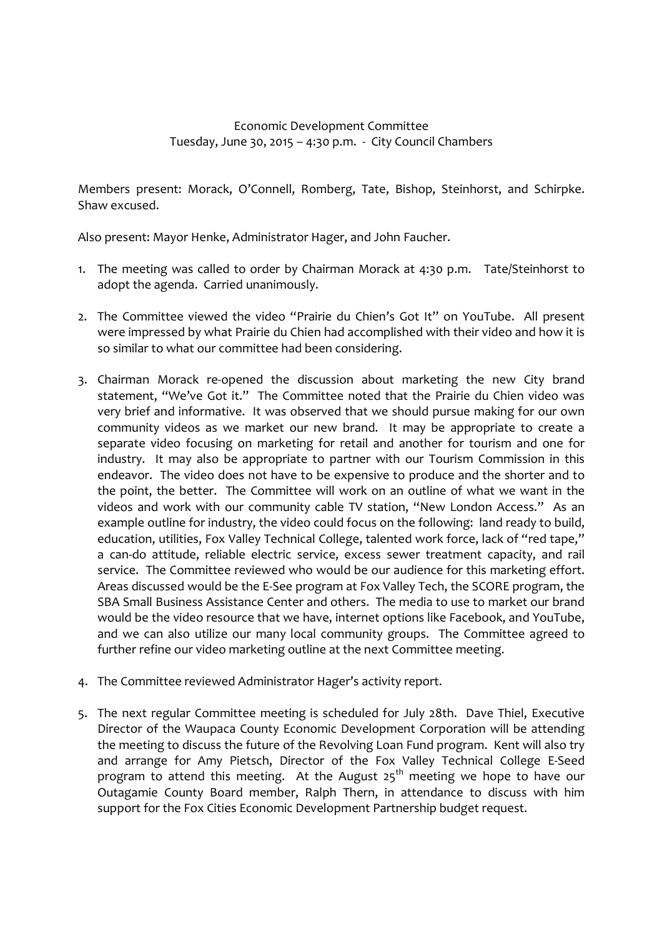## Economic Development Committee Tuesday, June 30, 2015 – 4:30 p.m. - City Council Chambers

Members present: Morack, O'Connell, Romberg, Tate, Bishop, Steinhorst, and Schirpke. Shaw excused.

Also present: Mayor Henke, Administrator Hager, and John Faucher.

- 1. The meeting was called to order by Chairman Morack at 4:30 p.m. Tate/Steinhorst to adopt the agenda. Carried unanimously.
- 2. The Committee viewed the video "Prairie du Chien's Got It" on YouTube. All present were impressed by what Prairie du Chien had accomplished with their video and how it is so similar to what our committee had been considering.
- 3. Chairman Morack re-opened the discussion about marketing the new City brand statement, "We've Got it." The Committee noted that the Prairie du Chien video was very brief and informative. It was observed that we should pursue making for our own community videos as we market our new brand. It may be appropriate to create a separate video focusing on marketing for retail and another for tourism and one for industry. It may also be appropriate to partner with our Tourism Commission in this endeavor. The video does not have to be expensive to produce and the shorter and to the point, the better. The Committee will work on an outline of what we want in the videos and work with our community cable TV station, "New London Access." As an example outline for industry, the video could focus on the following: land ready to build, education, utilities, Fox Valley Technical College, talented work force, lack of "red tape," a can-do attitude, reliable electric service, excess sewer treatment capacity, and rail service. The Committee reviewed who would be our audience for this marketing effort. Areas discussed would be the E-See program at Fox Valley Tech, the SCORE program, the SBA Small Business Assistance Center and others. The media to use to market our brand would be the video resource that we have, internet options like Facebook, and YouTube, and we can also utilize our many local community groups. The Committee agreed to further refine our video marketing outline at the next Committee meeting.
- 4. The Committee reviewed Administrator Hager's activity report.
- 5. The next regular Committee meeting is scheduled for July 28th. Dave Thiel, Executive Director of the Waupaca County Economic Development Corporation will be attending the meeting to discuss the future of the Revolving Loan Fund program. Kent will also try and arrange for Amy Pietsch, Director of the Fox Valley Technical College E-Seed program to attend this meeting. At the August  $25<sup>th</sup>$  meeting we hope to have our Outagamie County Board member, Ralph Thern, in attendance to discuss with him support for the Fox Cities Economic Development Partnership budget request.